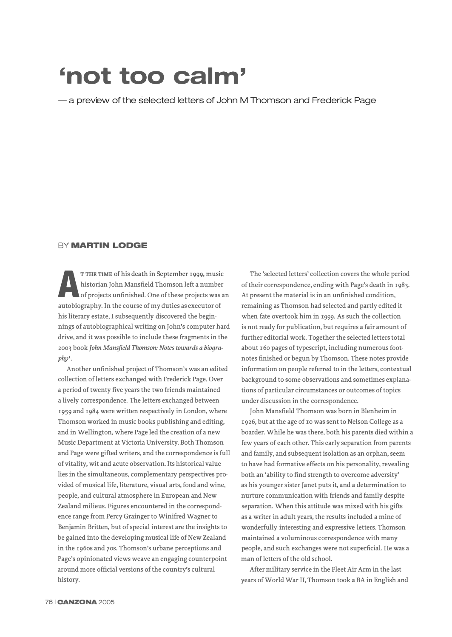# **'not too calm'**

- a preview of the selected letters of John M Thomson and Frederick Page

### **BY MARTIN LODGE**

A THE TIME OF IIS GEALT IT September 1999, must<br>bistorian John Mansfield Thomson left a number<br>of projects unfinished. One of these projects was<br>autobiography. In the course of my duties as executor of **T THE TIME** of his death in September 1999, music historian John Mansfield Thomson left a number of projects unfinished. One of these projects was an his literary estate, I subsequently discovered the beginnings of autobiographical writing on John's computer hard drive, and it was possible to include these fragments in the 2003 book *John Mansfield Thomson: Notes towards a biogra* $phv<sup>1</sup>$ .

Another unfinished project of Thomson's was an edited collection of letters exchanged with Frederick Page. Over a period of twenty five years the two friends maintained a lively correspondence. The letters exchanged between 1959 and 1984 were written respectively in London, where Thomson worked in music books publishing and editing, and in Wellington, where Page led the creation of a new Music Department at Victoria University. Both Thomson and Page were gifted writers, and the correspondence is full of vitality, wit and acute observation. Its historical value lies in the simultaneous, complementary perspectives provided of musical life, literature, visual arts, food and wine, people, and cultural atmosphere in European and New Zealand milieus. Figures encountered in the correspondence range from Percy Grainger to Winifred Wagner to Benjamin Britten, but of special interest are the insights to be gained into the developing musical life of New Zealand in the 1960s and 70s. Thomson's urbane perceptions and Page's opinionated views weave an engaging counterpoint around more official versions of the country's cultural history.

The 'selected letters' collection covers the whole period of their correspondence, ending with Page's death in 1983. At present the material is in an unfinished condition, remaining as Thomson had selected and partly edited it when fate overtook him in 1999. As such the collection is not ready for publication, but requires a fair amount of further editorial work. Together the selected letters total about 160 pages of typescript, including numerous footnotes finished or begun by Thomson. These notes provide information on people referred to in the letters, contextual background to some observations and sometimes explanations of particular circumstances or outcomes of topics under discussion in the correspondence.

John Mansfield Thomson was born in Blenheim in 1926, but at the age of **IO** was sent to Nelson College as a boarder. While he was there, both his parents died within a few years of each other. This early separation from parents and family, and subsequent isolation as an orphan, seem to have had formative effects on his personality, revealing both an 'ability to find strength to overcome adversity' as his younger sister Janet puts it, and a determination to nurture communication with friends and family despite separation. When this attitude was mixed with his gifts as a writer in adult years, the results included a mine of wonderfully interesting and expressive letters. Thomson maintained a voluminous correspondence with many people, and such exchanges were not superficial. He was a man of letters of the old school.

After military service in the Fleet Air Arm in the last years of World War II, Thomson took a BA in English and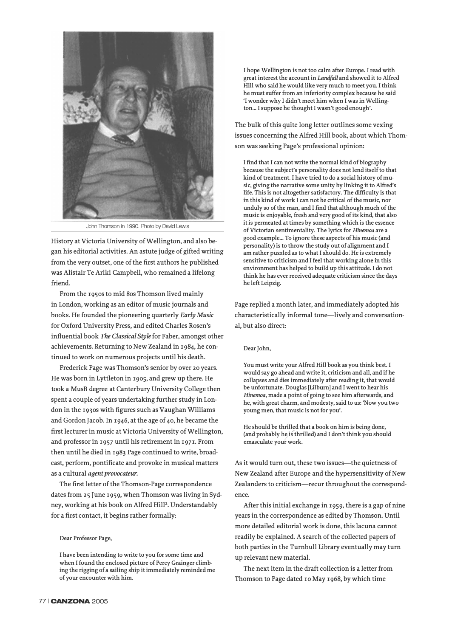

John Thomson in 1990. Photo by David Lewis

**History at Victoria University of Wellington, and also began his editorial activities. An astute judge of gifted writing from the very outset, one of the first authors he published was Alistair Te Ariki Campbell, who remained a lifelong friend.** 

**From the 1950s to mid 8os Thomson lived mainly in London, working as an editor of music journals and books. He founded the pioneering quarterly** *Early Music*  **for Oxford University Press, and edited Charles Rosen's influential book** *The Classical Style* **for Faber, amongst other achievements. Returning to New Zealand in 1984, he continued to work on numerous projects until his death.** 

**Frederick Page was Thomson's senior by over 20 years. He was born in Lyttleton in 1905, and grew up there. He took a MusB degree at Canterbury University College then spent a couple of years undertaking further study in London in the 1930s with figures such as Vaughan Williams and Gordon Jacob. In 1946, at the age of 40, he became the first lecturer in music at Victoria University of Wellington, and professor in 1957 until his retirement in 1971. From then until he died in 1983 Page continued to write, broadcast, perform, pontificate and provoke in musical matters as a cultural** *agent provocateur.* 

**The first letter of the Thomson-Page correspondence dates from 25 June 1959, when Thomson was living in Sydney, working at his book on Alfred Hil1<sup>2</sup> • Understandably for a first contact, it begins rather formally:**

#### **Dear Professor Page,**

**I have been intending to write to you for some time and when I found the enclosed picture of Percy Grainger climbing the rigging of a sailing ship it immediately reminded me of your encounter with him.** 

**I hope Wellington is not too calm after Europe. I read with great interest the account in** *Landfall* **and showed it to Alfred Hill who said he would like very much to meet you. I think he must suffer from an inferiority complex because he said 'I wonder why I didn't meet him when I was in Welling**ton ... I suppose he thought I wasn't good enough'.

**The bulk of this quite long letter outlines some vexing issues concerning the Alfred Hill book, about which Thomson was seeking Page's professional opinion:** 

**I find that I can not write the normal kind of biography because the subject's personality does not lend itself to that kind of treatment. I have tried to do a social history of music, giving the narrative some unity by linking it to Alfred's life. This is not altogether satisfactory. The difficulty is that in this kind of work I can not be critical of the music, nor unduly so of the man, and I f<sup>i</sup>nd that although much of the music is enjoyable, fresh and very good of its kind, that also it is permeated at times by something which is the essence of Victorian sentimentality. The lyrics for** *Hinemoa* **are a good example ... To ignore these aspects of his music (and personality) is to throw the study out of alignment and I am rather puzzled as to what I should do. He is extremely sensitive to criticism and I feel that working alone in this environment has helped to build up this attitude. I do not think he has ever received adequate criticism since the days he left Leipzig.** 

**Page replied a month later, and immediately adopted his characteristically informal tone-lively and conversational, but also direct:** 

#### **Dear John,**

**You must write your Alfred Hill book as you think best. I would say go ahead and write it, criticism and all, and if he collapses and dies immediately after reading it, that would be unfortunate. Douglas [Lilburn] and I went to hear his**  *Hinemoa,* **made a point of going to see him afterwards, and he, with great charm, and modesty, said to us: 'Now you two young men, that music is not for you'.** 

**He should be thrilled that a book on him is being done, (and probably h** 7 **is'thrilled) and I don't think you should emasculate your work.** 

**As it would tum out, these two issues-the quietness of New Zealand after Europe and the hypersensitivity of New**  Zealanders to criticism-recur throughout the correspond**ence.** 

**After this initial exchange in 1959, there is a gap of nine years in the correspondence as edited by Thomson. Until more detailed editorial work is done, this lacuna cannot readily be explained. A search of the collected papers of both parties in the Turnbull Library eventually may turn up relevant new material.** 

**The next item in the draft collection is a letter from Thomson to Page dated 10 May 1968, by which time**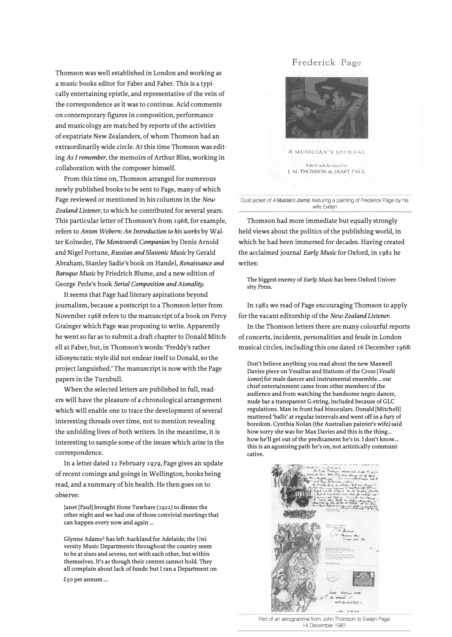Thomson was well established in London and working as a music books editor for Faber and Faber. This is a typically entertaining epistle, and representative of the vein of the correspondence as it was to continue. Acid comments on contemporary figures in composition, performance and musicology are matched by reports of the activities of expatriate New Zealanders, of whom Thomson had an extraordinarily wide circle. At this time Thomson was editing *As I remember,* the memoirs of Arthur Bliss, working in collaboration with the composer himself.

From this time on, Thomson arranged for numerous newly published books to be sent to Page, many of which Page reviewed or mentioned in his columns in the *New Zealand Listener,* to which he contributed for several years. This particular letter of Thomson's from 1968, for example, refers to *Anton Webern: An Introduction to his works* by Walter Kolneder, *The Monteverdi Companion* by Denis Arnold and Nigel Fortune, *Russian and Slavonic Music* by Gerald Abraham, Stanley Sadie's book on Handel, *Renaissance and Baroque Music* by Friedrich Blume, and a new edition of George Perle's book *Serial Composition and Atonality.*

It seems that Page had literary aspirations beyond journalism, because a postscript to a Thomson letter from November 1968 refers to the manuscript of a book on Percy Grainger which Page was proposing to write. Apparently he went so far as to submit a draft chapter to Donald Mitchell at Faber, but, in Thomson's words: 'Freddy's rather idiosyncratic style did not endear itself to Donald, so the project languished.' The manuscript is now with the Page papers in the Turnbull.

When the selected letters are published in full, readers will have the pleasure of a chronological arrangement which will enable one to trace the development of several interesting threads over time, not to mention revealing the unfolding lives of both writers. In the meantime, it is interesting to sample some of the issues which arise in the correspondence.

In a letter dated 12 February 1979, Page gives an update of recent comings and goings in Wellington, books being read, and a summary of his health. He then goes on to observe:

**Janet [Paul] brought Hone Tuwhare (1922) to dinner the other night and we had one of those convivial meetings that can happen every now and again ...** 

**Glynne Adams3 has left Auckland for Adelaide; the University Music Departments throughout the country seem to be at sixes and sevens, not with each other, but within themselves. It's as though their centres cannot hold. They all complain about lack of funds: but I ran a Department on** 

**£50 per annum ...** 

## Frederick Page



Dust jacket of *A Musician's Joumal,* featuring a painting of Frederick Page by his wife Evelyn

Thomson had more immediate but equally strongly held views about the politics of the publishing world, in which he had been immersed for decades. Having created the acclaimed journal *Early Music* for Oxford, in 1982 he writes:

**The biggest enemy of** *Early Music* **has been Oxford University Press.** 

In 1982 we read of Page encouraging Thomson to apply for the vacant editorship of the *New Zealand Listener.*

In the Thomson letters there are many colourful reports of concerts, incidents, personalities and feuds in London musical circles, including this one dated 16 December 1968:

**Don't believe anything you read about the new Maxwell Davies piece on Vesalius and Stations of the Cross** *[Vesalii icones*] for male dancer and instrumental ensemble... our **chief entertainment came from other members of the audience and from watching the handsome negro dancer, nude bar a transparent G-string, included because of GLC regulations. Man in front had binoculars. Donald [Mitchell] muttered 'balls' at regular intervals and went off in a fury of boredom. Cynthia Nolan (the Australian painter's wife) said how sorry she was for Max Davies and this is the thing ...**  how he'll get out of the predicament he's in. I don't know... **this is an agonising path he's on, not artistically communicative.** 



Part of an aerogramme from John Thomson to Evelyn Page 14 December 1981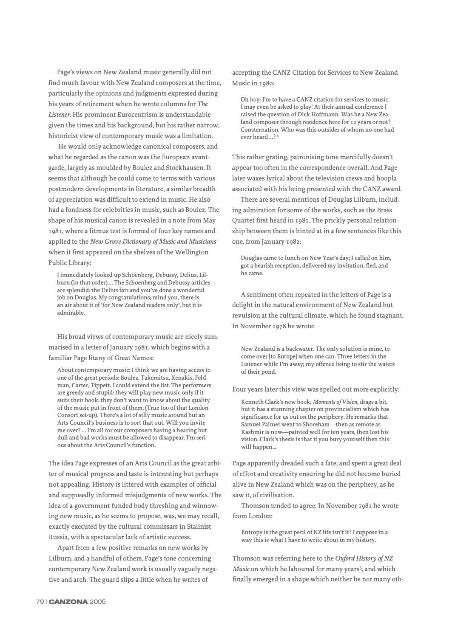Page's views on New Zealand music generally did not find much favour with New Zealand composers at the time, particularly the opinions and judgments expressed during his years of retirement when he wrote columns for *The Listener.* His prominent Eurocentrism is understandable given the times and his background, but his rather narrow, historicist view of contemporary music was a limitation.

He would only acknowledge canonical composers, and what he regarded as the canon was the European avantgarde, largely as moulded by Boulez and Stockhausen. It seems that although he could come to terms with various postmodern developments in literature, a similar breadth of appreciation was difficult to extend in music. He also had a fondness for celebrities in music, such as Boulez. The shape of his musical canon is revealed in a note from May 1981, where a litmus test is formed of four key names and applied to the *New Grove Dictionary of Music and Musicians* when it first appeared on the shelves of the Wellington Public Library:

**I immediately looked up Schoenberg, Debussy, Delius, Lilburn (in that order) .... The Schoenberg and Debussy articles are splendid: the Delius fair and you've done a wonderful job on Douglas. My congratulations; mind you, there is an air about it of'for New Zealand readers only', but it is admirable.** 

His broad views of contemporary music are nicely summarised in a letter of January 1981, which begins with a familiar Page litany of Great Names:

**About contemporary music: I think we are having access to one of the great periods: Boulez, Takemitsu, Xenakis, Feldman, Carter, Tippett. I could extend the list. The performers are greedy and stupid: they will play new music only if it suits their book: they don't want to know about the quality of the music put in front of them. (True too of that London Consort set-up). There's a lot of silly music around but an Arts Council's business is to sort that out. Will you invite me over? ... I'm all for our composers having a hearing but dull and bad works must be allowed to disappear. I'm serious about the Arts Council's function.** 

The idea Page expresses of an Arts Council as the great arbiter of musical progress and taste is interesting but perhaps not appealing. History is littered with examples of official and supposedly informed misjudgments of new works. The idea of a government funded body threshing and winnowing new music, as he seems to propose, was, we may recall, exactly executed by the cultural commissars in Stalinist Russia, with a spectacular lack of ar<sup>t</sup> istic success.

Apart from a few positive remarks on new works by Lilburn, and a handful of others, Page's tone concerning contemporary New Zealand work is usually vaguely negative and arch. The guard slips a little when he writes of

accepting the CANZ Citation for Services to New Zealand Music in 1980:

**Oh boy: I'm to have a CANZ citation for services to music. I may even be asked to play! At their annual conference I raised the question of Dick Hoffmann. Was he a New Zealand composer through residence here for 12 years or not? Consternation. Who was this outsider of whom no-one had ever heard** 24

This rather grating, patronising tone mercifully doesn't appear too often in the correspondence overall. And Page later waxes lyrical about the television crews and hoopla associated with his being presented with the CANZ award.

There are several mentions of Douglas Lilburn, including admiration for some of the works, such as the Brass Quartet first heard in 1981. The prickly personal relationship between them is hinted at in a few sentences like this one, from January 1982:

**Douglas came to lunch on New Year's day; I called on him, got a bearish reception, delivered my invitation, fled, and he came.** 

A sentiment often repeated in the letters of Page is a delight in the natural environment of New Zealand but revulsion at the cultural climate, which he found stagnant. In November 1978 he wrote:

**New Zealand is a backwater. The only solution is mine, to come over [to Europe] when one can. Three letters in the Listener while I'm away; my offence being to stir the waters of their pond.** 

Four years later this view was spelled out more explicitly:

**Kenneth Clark's new book,** *Moments of Vision,* **drags a bit, but it has a stunning chapter on provincialism which has significance for us out on the periphery. He remarks that Samuel Palmer went to Shoreham-then as remote as Kashmir is now-painted well for ten years, then lost his vision. Clark's thesis is that if you bury yourself then this**  will happen...

Page apparently dreaded such a fate, and spent a great deal of effort and creativity ensuring he did not become buried alive in New Zealand which was on the periphery, as he saw it, of civilisation.

Thomson tended to agree. In November 1981 he wrote from London:

**Entropy is the great peril of NZ life isn't it? I suppose in a way this is what I have to write about in my history.** 

Thomson was referring here to the *Oxford History of NZ Music* on which he laboured for many years<sup>5</sup>, and which finally emerged in a shape which neither he nor many oth-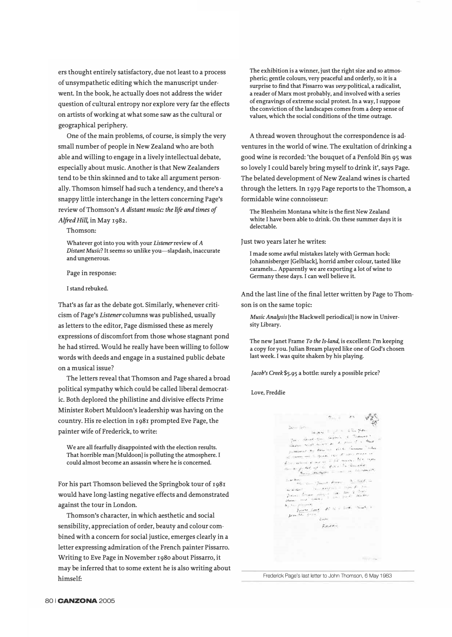ers thought entirely satisfactory, due not least to a process of unsympathetic editing which the manuscript underwent. In the book, he actually does not address the wider question of cultural entropy nor explore very far the effects on artists of working at what some saw as the cultural or geographical periphery.

One of the main problems, of course, is simply the very small number of people in New Zealand who are both able and willing to engage in a lively intellectual debate, especially about music. Another is that New Zealanders tend to be thin skinned and to take all argument personally. Thomson himself had such a tendency, and there's a snappy little interchange in the letters concerning Page's review of Thomson's *A distant music: the life and times of*  Alfred *Hill*, in May 1982.

Thomson:

**Whatever got into you with your** *Listener* **review of** *A Distant Music?* **It seems so unlike you-slapdash, inaccurate and ungenerous.** 

Page in response:

**I stand rebuked.** 

That's as far as the debate got. Similarly, whenever criticism of Page's *Listenercolumns* was published, usually as letters to the editor, Page dismissed these as merely expressions of discomfort from those whose stagnant pond he had stirred. Would he really have been willing to follow words with deeds and engage in a sustained public debate on a musical issue?

The letters reveal that Thomson and Page shared a broad political sympathy which could be called liberal democratic. Both deplored the philistine and divisive effects Prime Minister Robert Muldoon's leadership was having on the country. His re-election in r98r prompted Eve Page, the painter wife of Frederick, to write:

**We are all fearfully disappointed with the election results. That horrible man [Muldoon] is polluting the atmosphere. I could almost become an assassin where he is concerned.** 

For his part Thomson believed the Springbok tour of r98r would have long-lasting negative effects and demonstrated against the tour in London.

Thomson's character, in which aesthetic and social sensibility, appreciation of order, beauty and colour combined with a concern for social justice, emerges clearly in a letter expressing admiration of the French painter Pissarro. Writing to Eve Page in November 1980 about Pissarro, it may be inferred that to some extent he is also writing about himself:

**The exhibition is a winner, just the right size and so atmospheric; gentle colours, very peaceful and orderly, so it is a surprise to find that Pissarro was** *very* **political, a radicalist, a reader of Marx most probably, and involved with a series of engravings of extreme social protest. In a way, I suppose the conviction of the landscapes comes from a deep sense of values, which the social conditions of the time outrage.** 

A thread woven throughout the correspondence is adventures in the world of wine. The exultation of drinking a good wine is recorded: 'the bouquet of a Penfold Bin 95 was so lovely I could barely bring myself to drink it', says Page. The belated development of New Zealand wines is charted through the letters. In 1979 Page reports to the Thomson, a formidable wine connoisseur:

**The Blenheim Montana white is the first New Zealand white I have been able to drink. On these summer days it is delectable.** 

Just two years later he writes:

**I made some awful mistakes lately with German hock: Johannisberger [Gel black], horrid amber colour, tasted like caramels ... Apparently we are exporting a lot of wine to Germany these days. I can well believe it.** 

And the last line of the final letter written by Page to Thomson is on the same topic:

*Music Analysis* **[the Blackwell periodical] is now in University Library.** 

**The new Janet Frame** *To the Is-land,* **is excellent: I'm keeping a copy for you. Julian Bream played like one of God's chosen last week. I was quite shaken by his playing.** 

*Jacob's Creek* **\$5.95 a bottle: surely a possible price?** 

**Love, Freddie** 

 $\gamma_{\text{max}} = -\epsilon s \qquad \sqrt{s} \epsilon^{\text{R}}_{\text{max}}$ Same White )<br>1936 - General Margaret I, amerikanischer Schweizer<br>1936 - General Humani, partik der filmster Schweizer<br>1936 - Harley Schweizer, partik der filmster Schweizer ,, addressed that there,  $\Rightarrow$  . We have the company of such as  $\frac{1}{2}$  . There are a second that **;· <->•<••', J, •. ,., .....**  *,;.,J. ••.*   $\rho_{\rm{core}}$ diam.  $\frac{1}{\sqrt{2\pi} \sqrt{2\pi}}$  .  $\frac{1}{\sqrt{2\pi}}$  .  $\frac{1}{\sqrt{2\pi}}$  .  $\frac{1}{\sqrt{2\pi}}$  .  $\frac{1}{\sqrt{2\pi}}$  .  $\frac{1}{\sqrt{2\pi}}$  .  $\frac{1}{\sqrt{2\pi}}$  .  $\frac{1}{\sqrt{2\pi}}$  .  $\frac{1}{\sqrt{2\pi}}$  .  $\frac{1}{\sqrt{2\pi}}$  .  $\frac{1}{\sqrt{2\pi}}$  .  $\frac{1}{\sqrt{2\pi}}$  .  $\frac{$ *!,>!'• ,.,:.* ,.\_,  $\zeta$  is set  $F_{1}$ 

Frederick Page's last letter to John Thomson, 6 May 1983